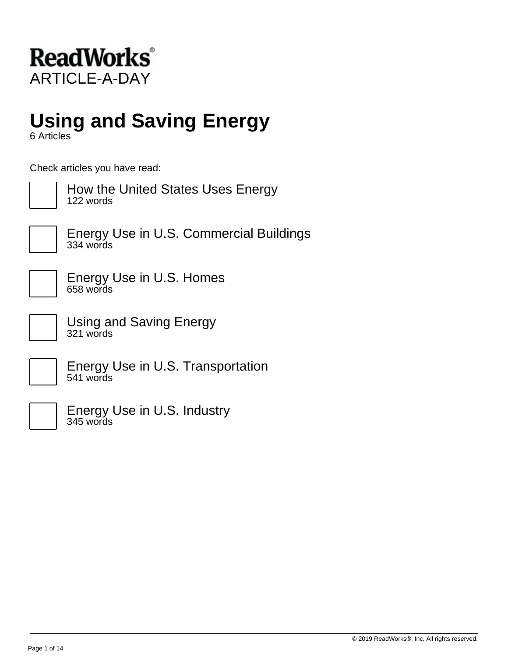

# **Using and Saving Energy**

6 Articles

Check articles you have read:



How the United States Uses Energy 122 words



Energy Use in U.S. Commercial Buildings 334 words

Energy Use in U.S. Homes 658 words

Using and Saving Energy 321 words

Energy Use in U.S. Transportation 541 words

Energy Use in U.S. Industry 345 words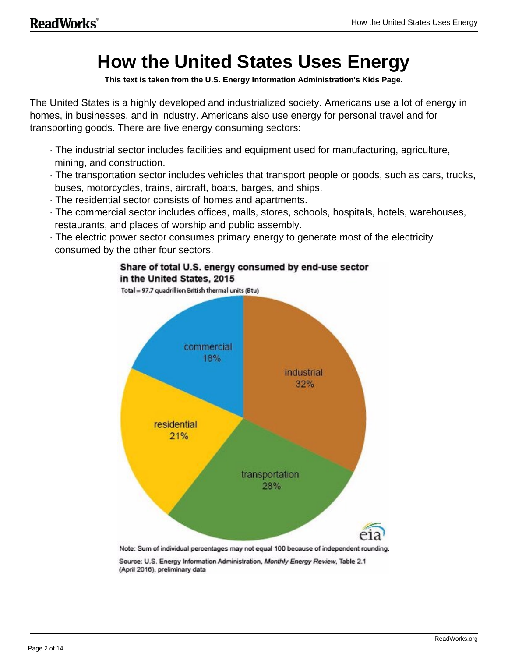# **How the United States Uses Energy**

**This text is taken from the U.S. Energy Information Administration's Kids Page.**

The United States is a highly developed and industrialized society. Americans use a lot of energy in homes, in businesses, and in industry. Americans also use energy for personal travel and for transporting goods. There are five energy consuming sectors:

- · The industrial sector includes facilities and equipment used for manufacturing, agriculture, mining, and construction.
- · The transportation sector includes vehicles that transport people or goods, such as cars, trucks, buses, motorcycles, trains, aircraft, boats, barges, and ships.
- · The residential sector consists of homes and apartments.
- · The commercial sector includes offices, malls, stores, schools, hospitals, hotels, warehouses, restaurants, and places of worship and public assembly.
- · The electric power sector consumes primary energy to generate most of the electricity consumed by the other four sectors.

Share of total U.S. energy consumed by end-use sector



(April 2016), preliminary data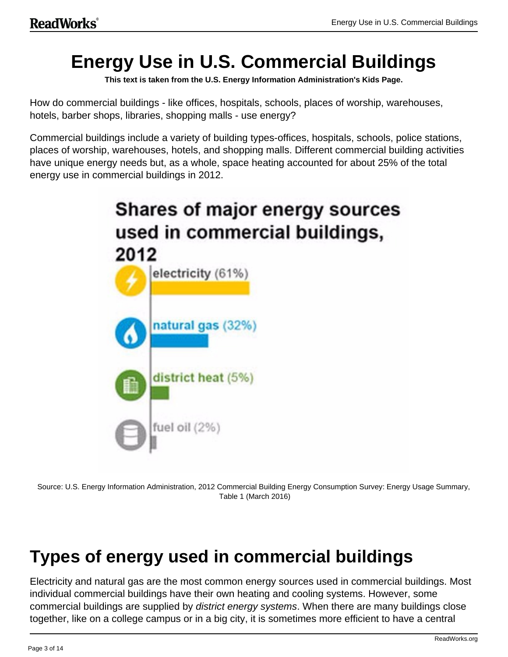# **Energy Use in U.S. Commercial Buildings**

**This text is taken from the U.S. Energy Information Administration's Kids Page.**

How do commercial buildings - like offices, hospitals, schools, places of worship, warehouses, hotels, barber shops, libraries, shopping malls - use energy?

Commercial buildings include a variety of building types-offices, hospitals, schools, police stations, places of worship, warehouses, hotels, and shopping malls. Different commercial building activities have unique energy needs but, as a whole, space heating accounted for about 25% of the total energy use in commercial buildings in 2012.



Source: U.S. Energy Information Administration, 2012 Commercial Building Energy Consumption Survey: Energy Usage Summary, Table 1 (March 2016)

# **Types of energy used in commercial buildings**

Electricity and natural gas are the most common energy sources used in commercial buildings. Most individual commercial buildings have their own heating and cooling systems. However, some commercial buildings are supplied by district energy systems. When there are many buildings close together, like on a college campus or in a big city, it is sometimes more efficient to have a central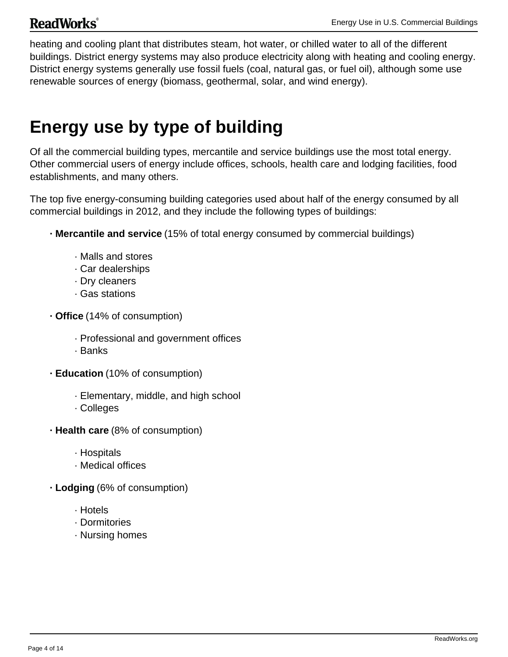### **ReadWorks**<sup>®</sup>

heating and cooling plant that distributes steam, hot water, or chilled water to all of the different buildings. District energy systems may also produce electricity along with heating and cooling energy. District energy systems generally use fossil fuels (coal, natural gas, or fuel oil), although some use renewable sources of energy (biomass, geothermal, solar, and wind energy).

# **Energy use by type of building**

Of all the commercial building types, mercantile and service buildings use the most total energy. Other commercial users of energy include offices, schools, health care and lodging facilities, food establishments, and many others.

The top five energy-consuming building categories used about half of the energy consumed by all commercial buildings in 2012, and they include the following types of buildings:

- **· Mercantile and service** (15% of total energy consumed by commercial buildings)
	- · Malls and stores
	- · Car dealerships
	- · Dry cleaners
	- · Gas stations
- **· Office** (14% of consumption)
	- · Professional and government offices
	- · Banks
- **· Education** (10% of consumption)
	- · Elementary, middle, and high school
	- · Colleges
- **· Health care** (8% of consumption)
	- · Hospitals
	- · Medical offices
- **· Lodging** (6% of consumption)
	- · Hotels
	- · Dormitories
	- · Nursing homes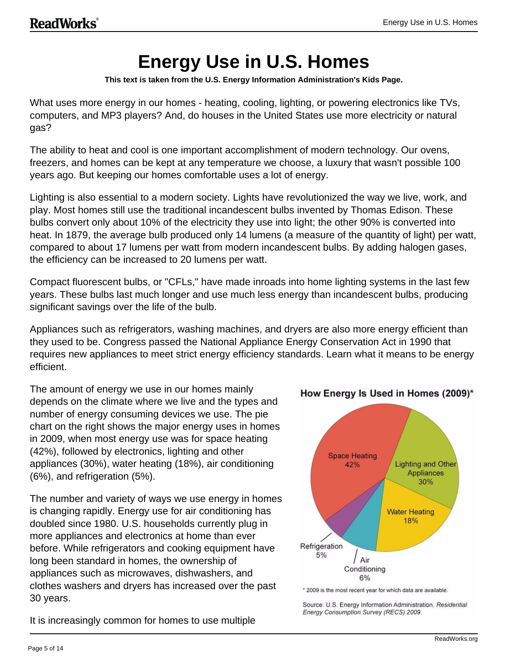# **Energy Use in U.S. Homes**

**This text is taken from the U.S. Energy Information Administration's Kids Page.**

What uses more energy in our homes - heating, cooling, lighting, or powering electronics like TVs, computers, and MP3 players? And, do houses in the United States use more electricity or natural gas?

The ability to heat and cool is one important accomplishment of modern technology. Our ovens, freezers, and homes can be kept at any temperature we choose, a luxury that wasn't possible 100 years ago. But keeping our homes comfortable uses a lot of energy.

Lighting is also essential to a modern society. Lights have revolutionized the way we live, work, and play. Most homes still use the traditional incandescent bulbs invented by Thomas Edison. These bulbs convert only about 10% of the electricity they use into light; the other 90% is converted into heat. In 1879, the average bulb produced only 14 lumens (a measure of the quantity of light) per watt, compared to about 17 lumens per watt from modern incandescent bulbs. By adding halogen gases, the efficiency can be increased to 20 lumens per watt.

Compact fluorescent bulbs, or "CFLs," have made inroads into home lighting systems in the last few years. These bulbs last much longer and use much less energy than incandescent bulbs, producing significant savings over the life of the bulb.

Appliances such as refrigerators, washing machines, and dryers are also more energy efficient than they used to be. Congress passed the National Appliance Energy Conservation Act in 1990 that requires new appliances to meet strict energy efficiency standards. Learn what it means to be energy efficient.

The amount of energy we use in our homes mainly depends on the climate where we live and the types and number of energy consuming devices we use. The pie chart on the right shows the major energy uses in homes in 2009, when most energy use was for space heating (42%), followed by electronics, lighting and other appliances (30%), water heating (18%), air conditioning (6%), and refrigeration (5%).

The number and variety of ways we use energy in homes is changing rapidly. Energy use for air conditioning has doubled since 1980. U.S. households currently plug in more appliances and electronics at home than ever before. While refrigerators and cooking equipment have long been standard in homes, the ownership of appliances such as microwaves, dishwashers, and clothes washers and dryers has increased over the past 30 years.

It is increasingly common for homes to use multiple



How Energy Is Used in Homes (2009)\*

\* 2009 is the most recent year for which data are available.

Source: U.S. Energy Information Administration, Residential Energy Consumption Survey (RECS) 2009.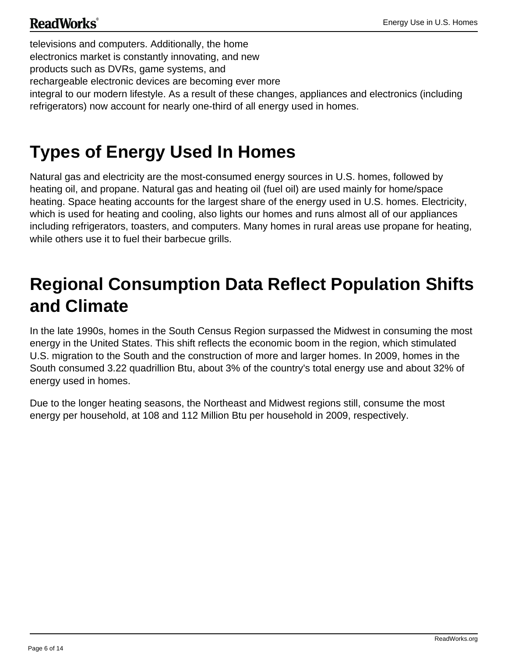### **ReadWorks**<sup>®</sup>

televisions and computers. Additionally, the home electronics market is constantly innovating, and new products such as DVRs, game systems, and rechargeable electronic devices are becoming ever more integral to our modern lifestyle. As a result of these changes, appliances and electronics (including refrigerators) now account for nearly one-third of all energy used in homes.

# **Types of Energy Used In Homes**

Natural gas and electricity are the most-consumed energy sources in U.S. homes, followed by heating oil, and propane. Natural gas and heating oil (fuel oil) are used mainly for home/space heating. Space heating accounts for the largest share of the energy used in U.S. homes. Electricity, which is used for heating and cooling, also lights our homes and runs almost all of our appliances including refrigerators, toasters, and computers. Many homes in rural areas use propane for heating, while others use it to fuel their barbecue grills.

# **Regional Consumption Data Reflect Population Shifts and Climate**

In the late 1990s, homes in the South Census Region surpassed the Midwest in consuming the most energy in the United States. This shift reflects the economic boom in the region, which stimulated U.S. migration to the South and the construction of more and larger homes. In 2009, homes in the South consumed 3.22 quadrillion Btu, about 3% of the country's total energy use and about 32% of energy used in homes.

Due to the longer heating seasons, the Northeast and Midwest regions still, consume the most energy per household, at 108 and 112 Million Btu per household in 2009, respectively.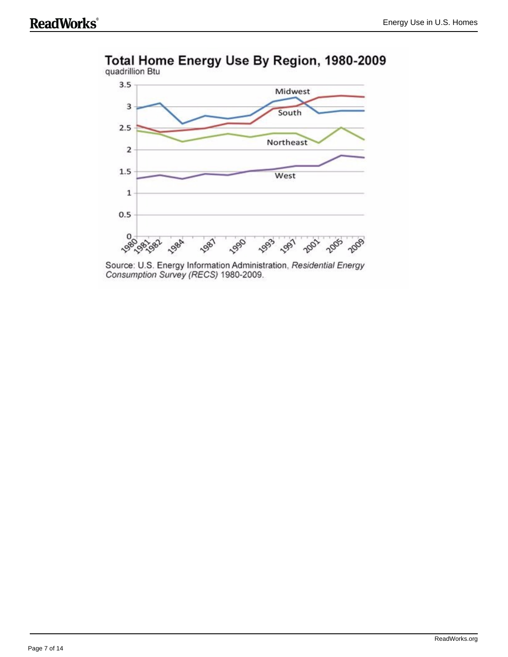

### Total Home Energy Use By Region, 1980-2009

Source: U.S. Energy Information Administration, Residential Energy Consumption Survey (RECS) 1980-2009.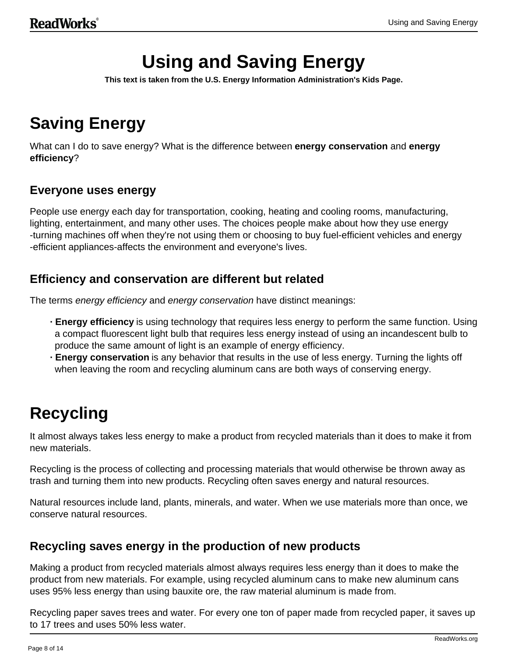# **Using and Saving Energy**

**This text is taken from the U.S. Energy Information Administration's Kids Page.**

# **Saving Energy**

What can I do to save energy? What is the difference between **energy conservation** and **energy efficiency**?

### **Everyone uses energy**

People use energy each day for transportation, cooking, heating and cooling rooms, manufacturing, lighting, entertainment, and many other uses. The choices people make about how they use energy -turning machines off when they're not using them or choosing to buy fuel-efficient vehicles and energy -efficient appliances-affects the environment and everyone's lives.

#### **Efficiency and conservation are different but related**

The terms energy efficiency and energy conservation have distinct meanings:

- **· Energy efficiency** is using technology that requires less energy to perform the same function. Using a compact fluorescent light bulb that requires less energy instead of using an incandescent bulb to produce the same amount of light is an example of energy efficiency.
- **· Energy conservation** is any behavior that results in the use of less energy. Turning the lights off when leaving the room and recycling aluminum cans are both ways of conserving energy.

# **Recycling**

It almost always takes less energy to make a product from recycled materials than it does to make it from new materials.

Recycling is the process of collecting and processing materials that would otherwise be thrown away as trash and turning them into new products. Recycling often saves energy and natural resources.

Natural resources include land, plants, minerals, and water. When we use materials more than once, we conserve natural resources.

#### **Recycling saves energy in the production of new products**

Making a product from recycled materials almost always requires less energy than it does to make the product from new materials. For example, using recycled aluminum cans to make new aluminum cans uses 95% less energy than using bauxite ore, the raw material aluminum is made from.

Recycling paper saves trees and water. For every one ton of paper made from recycled paper, it saves up to 17 trees and uses 50% less water.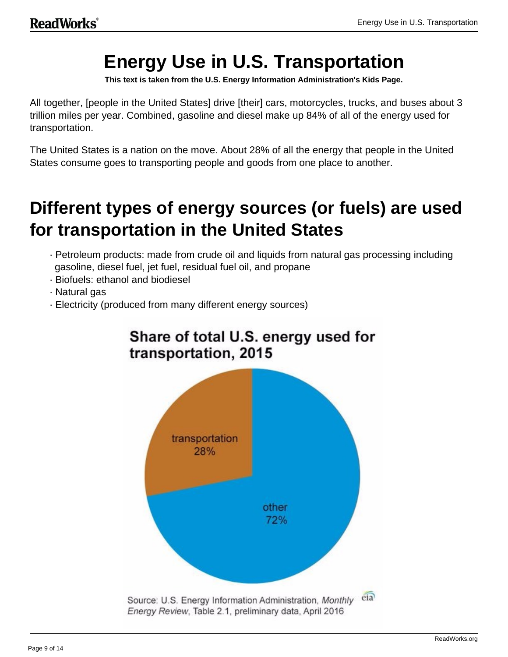# **Energy Use in U.S. Transportation**

**This text is taken from the U.S. Energy Information Administration's Kids Page.**

All together, [people in the United States] drive [their] cars, motorcycles, trucks, and buses about 3 trillion miles per year. Combined, gasoline and diesel make up 84% of all of the energy used for transportation.

The United States is a nation on the move. About 28% of all the energy that people in the United States consume goes to transporting people and goods from one place to another.

# **Different types of energy sources (or fuels) are used for transportation in the United States**

- · Petroleum products: made from crude oil and liquids from natural gas processing including gasoline, diesel fuel, jet fuel, residual fuel oil, and propane
- · Biofuels: ethanol and biodiesel
- · Natural gas
- · Electricity (produced from many different energy sources)



### Share of total U.S. energy used for transportation, 2015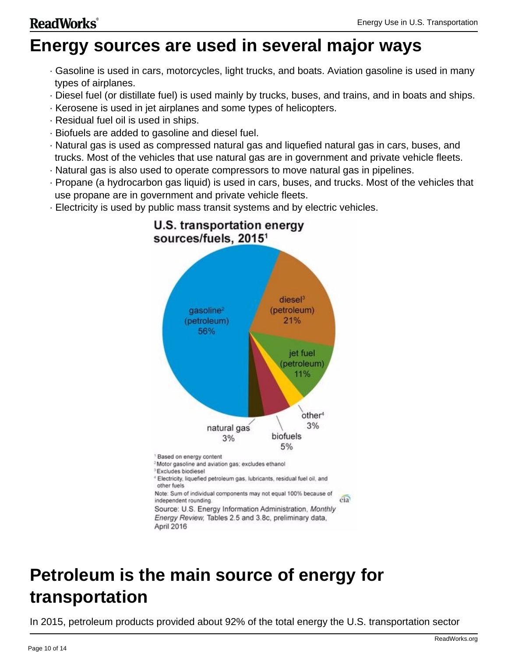### **ReadWorks**<sup>®</sup>

## **Energy sources are used in several major ways**

- · Gasoline is used in cars, motorcycles, light trucks, and boats. Aviation gasoline is used in many types of airplanes.
- · Diesel fuel (or distillate fuel) is used mainly by trucks, buses, and trains, and in boats and ships.
- · Kerosene is used in jet airplanes and some types of helicopters.
- · Residual fuel oil is used in ships.
- · Biofuels are added to gasoline and diesel fuel.
- · Natural gas is used as compressed natural gas and liquefied natural gas in cars, buses, and trucks. Most of the vehicles that use natural gas are in government and private vehicle fleets.
- · Natural gas is also used to operate compressors to move natural gas in pipelines.
- · Propane (a hydrocarbon gas liquid) is used in cars, buses, and trucks. Most of the vehicles that use propane are in government and private vehicle fleets.
- · Electricity is used by public mass transit systems and by electric vehicles.



### U.S. transportation energy sources/fuels, 2015<sup>1</sup>

# **Petroleum is the main source of energy for transportation**

In 2015, petroleum products provided about 92% of the total energy the U.S. transportation sector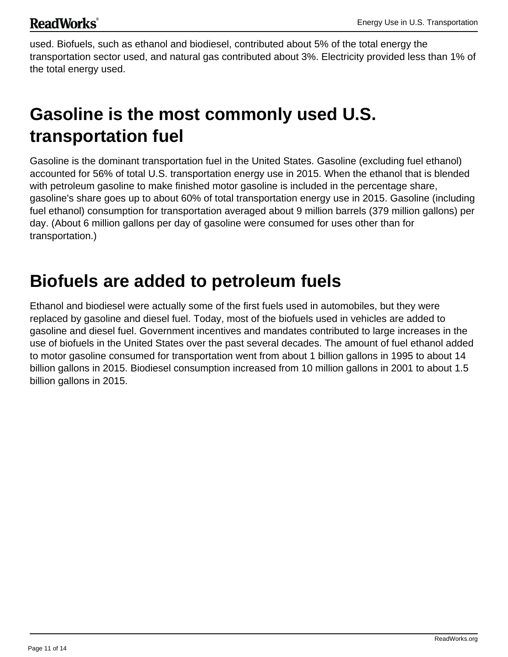used. Biofuels, such as ethanol and biodiesel, contributed about 5% of the total energy the transportation sector used, and natural gas contributed about 3%. Electricity provided less than 1% of the total energy used.

# **Gasoline is the most commonly used U.S. transportation fuel**

Gasoline is the dominant transportation fuel in the United States. Gasoline (excluding fuel ethanol) accounted for 56% of total U.S. transportation energy use in 2015. When the ethanol that is blended with petroleum gasoline to make finished motor gasoline is included in the percentage share, gasoline's share goes up to about 60% of total transportation energy use in 2015. Gasoline (including fuel ethanol) consumption for transportation averaged about 9 million barrels (379 million gallons) per day. (About 6 million gallons per day of gasoline were consumed for uses other than for transportation.)

## **Biofuels are added to petroleum fuels**

Ethanol and biodiesel were actually some of the first fuels used in automobiles, but they were replaced by gasoline and diesel fuel. Today, most of the biofuels used in vehicles are added to gasoline and diesel fuel. Government incentives and mandates contributed to large increases in the use of biofuels in the United States over the past several decades. The amount of fuel ethanol added to motor gasoline consumed for transportation went from about 1 billion gallons in 1995 to about 14 billion gallons in 2015. Biodiesel consumption increased from 10 million gallons in 2001 to about 1.5 billion gallons in 2015.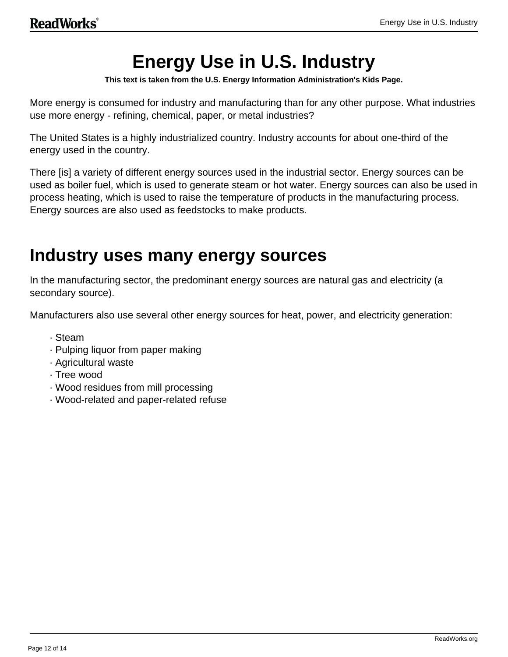# **Energy Use in U.S. Industry**

**This text is taken from the U.S. Energy Information Administration's Kids Page.**

More energy is consumed for industry and manufacturing than for any other purpose. What industries use more energy - refining, chemical, paper, or metal industries?

The United States is a highly industrialized country. Industry accounts for about one-third of the energy used in the country.

There [is] a variety of different energy sources used in the industrial sector. Energy sources can be used as boiler fuel, which is used to generate steam or hot water. Energy sources can also be used in process heating, which is used to raise the temperature of products in the manufacturing process. Energy sources are also used as feedstocks to make products.

## **Industry uses many energy sources**

In the manufacturing sector, the predominant energy sources are natural gas and electricity (a secondary source).

Manufacturers also use several other energy sources for heat, power, and electricity generation:

- · Steam
- · Pulping liquor from paper making
- · Agricultural waste
- · Tree wood
- · Wood residues from mill processing
- · Wood-related and paper-related refuse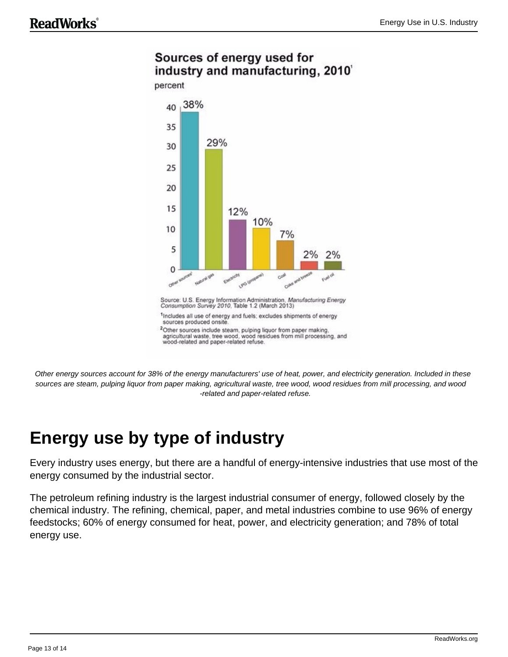### Sources of energy used for industry and manufacturing, 2010'



Other energy sources account for 38% of the energy manufacturers' use of heat, power, and electricity generation. Included in these sources are steam, pulping liquor from paper making, agricultural waste, tree wood, wood residues from mill processing, and wood -related and paper-related refuse.

# **Energy use by type of industry**

Every industry uses energy, but there are a handful of energy-intensive industries that use most of the energy consumed by the industrial sector.

The petroleum refining industry is the largest industrial consumer of energy, followed closely by the chemical industry. The refining, chemical, paper, and metal industries combine to use 96% of energy feedstocks; 60% of energy consumed for heat, power, and electricity generation; and 78% of total energy use.